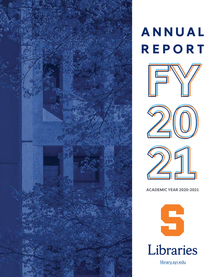

### **A N N U A L REPORT**







**ACADEMIC YEAR 2020–2021**

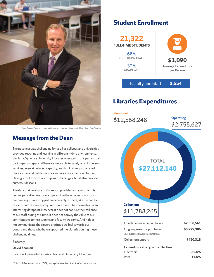

David Seaman, Dean of Libraries and University Librarian, in lower level of Bird Library (pre-COVID)

### **Message from the Dean**

The past year was challenging for us all as colleges and universities provided teaching and learning in different hybrid environments. Similarly, Syracuse University Libraries operated in this part virtual, part in-person space. Where we were able to safely offer in-person services, even at reduced capacity, we did. And we also offered more virtual and online services and resources than ever before. Having a foot in both worlds posed challenges, but it also provided numerous lessons.

The data that we share in this report provides a snapshot of this unique period in time. Some figures, like the number of visitors to our buildings, have dropped considerably. Others, like the number of electronic resources acquired, have risen. The information is an interesting datapoint. However, it does not capture the resilience of our staff during this time. It does not convey the value of our contributions to the students and faculty we serve. And it does not communicate the sincere gratitude we feel towards our donors and those who have supported the Libraries during these challenging times.

#### Sincerely,

#### **David Seaman**

Syracuse University Libraries Dean and University Librarian

### **Student Enrollment**



Faculty and Staff **3,554** 

### **Libraries Expenditures**



| One-time resource purchases                                              | \$2,558,561 |
|--------------------------------------------------------------------------|-------------|
| Ongoing resource purchases<br>(e.g., subscriptions, annual license fees) | \$8,779,386 |
| Collection support                                                       | \$450,318   |
| <b>Expenditures by type of collection</b>                                |             |
| Electronic                                                               | 82.5%       |
| Print                                                                    | 17.5%       |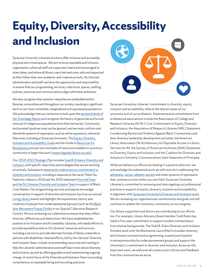### **Equity, Diversity, Accessibility and Inclusion**

Syracuse University Libraries strives to offer inclusive and accessible physical and virtual spaces. We aim to be an equitable and inclusive organization, where all staff are supported, heard and encouraged to share ideas, and where all library users feel welcome, safe and respected as they follow their own academic and creative pursuits. As Libraries' administrators and staff, we have the opportunity and responsibility to ensure that our programming, services, collections, spaces, staffing, policies, practices and communications align with these ambitions.

We also recognize that systemic inequities are embedded within libraries, universities and throughout our society, resulting in significant harm to our most vulnerable, marginalized and oppressed populations. We acknowledge that our institution is built upon the [ancestral lands of](https://thecollege.syr.edu/anniversary-issue/taking-root/haudenosaunee-peoples-longhouse/) [the Onondaga Nation](https://thecollege.syr.edu/anniversary-issue/taking-root/haudenosaunee-peoples-longhouse/) and recognize the history of genocide and forced removal of indigenous populations from their territories. Community and societal injustices must not be ignored, and we must confront and dismantle systems of oppression, such as white supremacy, wherever they exist, including at Syracuse University.The [Equity, Diversity,](https://researchguides.library.syr.edu/diversity) Inclusion and Accessibility Guide and the Guide to [Resources for](https://researchguides.library.syr.edu/racialjustice) [Racial Justice](https://researchguides.library.syr.edu/racialjustice) are just two examples of resources available to us and our community to begin thiswork ([researchguides.library.syr.edu](http://researchguides.library.syr.edu)).

Our[2018-2022 Strategic Plan](https://library.syr.edu/about/publications/strategic-plan-2018-2022.php) includes [Goal 8: Enhance Diversity and](https://library.syr.edu/about/strategic-plan-2018-2022.php#theme-d) [Inclusion,](https://library.syr.edu/about/strategic-plan-2018-2022.php#theme-d) with specific objectives and strategies that we are working on actively. Subsequent [statements underscore our](https://libnews.syr.edu/syracuse-university-libraries-statement-on-commitment-to-diversity-and-inclusion/) commitment to [diversity and inclusion,](https://libnews.syr.edu/syracuse-university-libraries-statement-on-commitment-to-diversity-and-inclusion/) including a response to the racist Theta Tau fraternity videos in 2018 and the 2020 statement f[rom the Dean](https://libnews.syr.edu/from-the-dean-and-the-su-libraries-diversity-and-inclusion-team/) and the SU Libraries Diversity and Inclusion Team in support of Black Lives Matter. Our programming, services and spaces encourage conversations in support of diversity and inclusion (such as our annual [Living Library](https://researchguides.library.syr.edu/livinglibrary) event) and highlight the experiences, history and creativity of people from underrepresented groups (such as the [Black](https://calendar.syracuse.edu/events/2020-feb-26/black-arts-movement-popup-exhibit/) [Arts Movement Popup Exhibit](https://calendar.syracuse.edu/events/2020-feb-26/black-arts-movement-popup-exhibit/) in our Special Collections Research Center). We are reviewing our collections to ensure that they reflect diversity, differences and distinctions. We have established the position of an Inclusion and Accessibility Librarian, who leads efforts to provide equitable access to SU Libraries' resources and services, including a service to provide alternate formats of library materials to patrons with disabilities. Internal efforts, led by the Libraries' Diversity and Inclusion Team, include recommending resources and training to help the Libraries' administrators and staff learn more about diversity and inclusion, aswell as offering guidance and implementing ongoing change. A recent focus of the Diversity and Inclusion Team is providing consultations on equitable hiring and recruiting practices.



Syracuse University Libraries' commitment to diversity, equity, inclusion and accessibility reflects the shared values of our university and of our profession. Statements and commitments from professional associations include the Association of College and Research Libraries (ACRL) Core Commitment to Equity, Diversity and Inclusion; the Association of Research Libraries (ARL) Statement Condemning Racism and Violence Against Black Communities and their diversity leadership development activities; the American Library Association (ALA) Advocacy for Equitable Access to Library Services for All; the Society of American Archivists (SAA) Statement on Diversity, Equity and Inclusion; and the Coalition for Diversity and Inclusion in Scholarly Communications' Joint Statement of Principles.

While we believe our efforts are leading in a positive direction, we acknowledge the substantial work we still must do in addressing the [whiteness,](https://www.library.wisc.edu/gwslibrarian/bibliographies/disrupting-whiteness-in-libraries/) [racism,](https://theequitycollective.com/2017/10/03/systems-of-oppression/) [ableism,](https://www.jstor.org/stable/j.ctvr33d50) [sexism](https://crln.acrl.org/index.php/crlnews/article/view/23546/30867) and other systems of oppression that continue to exist within our own field. Syracuse University Libraries is committed to reviewing and interrogating our professional practices in support of equity, diversity, inclusion and accessibility, in alignment with [Syracuse University's Diversity and Inclusion work](https://www.syracuse.edu/life/accessibility-diversity/diversity-inclusion/). We are reviewing our organizational commitments and goals and will continue to update the University community on our progress.

Our library supporters and donors are contributing to our efforts, too. For example, Library Advisory Board member Todd Rubin has made a five-year commitment to support student entrepreneurs from diverse backgrounds. The Todd B. Rubin Diversity and Inclusion Scholars work with the Blackstone LaunchPad to broaden diversity and inclusion outreach and programming, expand participation in entrepreneurship by underrepresented groups and support the Univerisity's commitment to diversity and inclusion. As we do this important work, we welcome all constructive criticism and feedback from the communities we serve.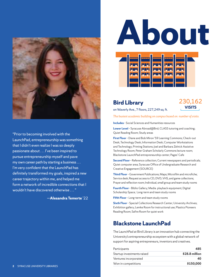

"Prior to becoming involved with the LaunchPad, entrepreneurship was something that I didn't even realize I was so deeply passionate about . . . I've been inspired to pursue entrepreneurship myself and pave my own career path by starting a business . . . I'm very confident that the LaunchPad has definitely transformed my goals, inspired a new career trajectory within me, and helped me form a network of incredible connections that I wouldn't have discovered otherwise . . . "





### **Bird Library**

230,162 **VISITS**

on Waverly Ave., 7 floors, 227,249 sq. ft.

*The busiest academic building on campus based on number of visits.*

**Includes** - Social Sciences and Humanities resources

**Lower Level** – Syracuse Abroad@Bird; CLASS tutoring and coaching; Quiet Reading Room; Study areas

**First Floor** – Diane and Bob Miron '59 Learning Commons; Check-out Desk; Technology Desk; Information Desk; Computer Workstations and Technology; Printing Stations; Joel and Barbara Zelnick Assistive Technology Room; Peter Graham Scholarly Commons lecture room; Blackstone LaunchPad entrepreneurship center; Pages' Cafe

**Second Floor** - Reference collection; Current newspapers and periodicals; Quiet computer area; Syracuse Office of Undergraduate Research and Creative Engagement (SOURCE)

**Third Floor** – Government Publications; Maps; Microfilm and microfiche; Service desk; Request access to CD, DVD, VHS, and game collections; Prayer and reflection room; Individual, small group and team study rooms

**Fourth Floor** – Biblio Gallery; Media playback equipment; Digital Scholarship Space; Long-term and team study rooms

**Fifth Floor** – Long-term and team study rooms

**Sixth Floor** - Special Collections Research Center; University Archives; Exhibition gallery; Lemke Room for instructional use; Plastics Pioneers Reading Room; Safire Room for quiet work

### **Blackstone LaunchPad**

The LaunchPad at Bird Library is an innovation hub connecting the University's entrepreneurship ecosystem with a global network of support for aspiring entrepreneurs, inventors and creatives.

| Participants               | 485            |
|----------------------------|----------------|
| Startup investments raised | \$28.8 million |
| Ventures incorporated      | 40             |
| Won in competitions        | \$150,000      |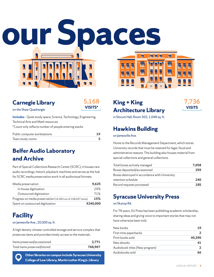$\overline{\mathbf{u}}$   $\overline{\mathbf{u}}$ 



### **Carnegie Library**



on the Shaw Quadrangle

**Includes** – Quiet study space; Science, Technology, Engineering, Technical Arts and Math resources \*Count only reflects number of people entering stacks

| Public computer workstations |  |
|------------------------------|--|
| Team study rooms             |  |

### **Belfer Audio Laboratory and Archive**

Part of Special Collections Research Center (SCRC), it houses rare audio recordings, historic playback machines and serves as the hub for SCRC media preservation work in all audiovisual formats.

| Media preservation                                           | 9,625     |
|--------------------------------------------------------------|-----------|
| In-house digitization                                        | 29%       |
| Outsourced digitization                                      | 71%       |
| Progress on media preservation (16,483 out of 108,607 items) | 15%       |
| Spent on outsourced digitization                             | \$240,000 |

### **Facility**

### on Jamesville Ave., 20,000 sq. ft.

A high density climate-controlled storage and service complex that preserves items and provides timely access to the materials.

| Items preserved/accessioned  | 2.771   |
|------------------------------|---------|
| Total items preserved/stored | 768.967 |

**Other libraries on campus include Syracuse University College of Law Library, Martin Luther King Jr. Library**

### **King + King Architecture Library**

 $\overline{\mathbf{N}}$ 

 $\overline{\mathbf{M}}$ 

**TT TT TT** 

Г

 $\overline{\mathbf{N}}$ 

 $\overline{\mathbf{M}}$ 

7,736 **VISITS**

in Slocum Hall, Room 302, 1,048 sq. ft.

### **Hawkins Building**

on Jamesville Ave.

Home to the Records Management Department, which stores University records that must be retained for legal, fiscal and administrative reasons. This building also houses material from special collections and general collections.

| Total boxes actively managed                  | 7.058 |
|-----------------------------------------------|-------|
| Boxes deposited/accessioned                   | 259   |
| Boxes destroyed in accordance with University |       |
| retention schedule                            | 240   |
| Record requests processed                     | 185   |

### **Syracuse University Press**

### on Skytop Rd.

For 78 years, SU Press has been publishing academic scholarship, sharing ideas and giving voice to important stories that may not have otherwise been told.

| 19     |
|--------|
|        |
| 40,390 |
| 41     |
|        |
| 66     |
|        |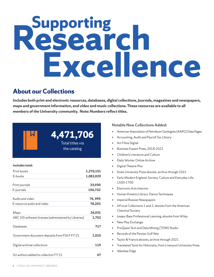# **Supporting Research Excellence**

### **About our Collections**

**Includes both print and electronic resources, databases, digital collections, journals, magazines and newspapers, maps and government information, and video and music collections. These resources are available to all members of the University community. Note: Numbers reflect titles.**

### **Includes total:**

| Print books                                           | 1,270,151 |
|-------------------------------------------------------|-----------|
| E-books                                               | 1,082,029 |
| Print journals                                        | 33,930    |
| E-journals                                            | 156,732   |
| Audio and video                                       | 76,995    |
| E-resource audio and video                            | 78,203    |
| Maps                                                  | 26,031    |
| ARC GIS software licenses (administered by Libraries) | 1,752     |
| Databases                                             | 717       |
| Government document deposits from FDLP FY'21          | 1,010     |
| Digital archival collections                          | 119       |
| SU authors added to collection FY'21                  | 67        |

**4,471,706** 

Total titles via the catalog

### **Notable New Collections Added:**

- American Association of Petroleum Geologists (AAPG) Data Pages
- Accounting, Audit and Payroll Tax Library
- Art Films Digital
- Business Expert Press, 2018-2021
- Children's Literature and Culture
- Daily Worker Online Archive
- Digital Theatre Plus
- Duke University Press ebooks, archive through 2021
- Early Modern England: Society, Culture and Everyday Life, 1500-1700
- Electronic Arts Intermix
- Human Kinetics Library: Dance Techniques
- Imperial Russian Newspapers
- InFocus Collections 1 and 2, ebooks from the American Chemical Society
- Jossey-Bass Professional Learning, ebooks from Wiley
- New Play Exchange
- ProQuest Text and Data Mining (TDM) Studio
- Records of the Persian Gulf War
- Taylor & Francis ebooks, archive through 2021
- Translated Texts for Historians, from Liverpool University Press
- Westlaw Edge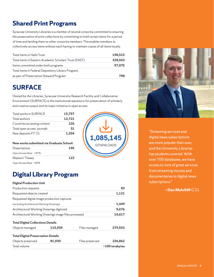### **Shared Print Programs**

Syracuse University Libraries is a member of several consortia committed to ensuring the preservation of print collections by committing to hold certain items for a period of time and lending them to other consortia members. This enables members to collectively access items without each having to maintain copies of all items locally.

| Total items in Hathi Trust                             | 198,515 |
|--------------------------------------------------------|---------|
| Total items in Eastern Academic Scholars' Trust (EAST) | 328,563 |
| Items committed under both programs                    | 97,075  |
| Total items in Federal Depository Library Program,     |         |
| as part of Preservation Steward Program                | 798     |

### **SURFACE**

Hosted by the Libraries, Syracuse University Research Facility and Collaborative Environment (SURFACE) is the institutional repository for preservation of scholarly and creative output and its major initiative in open access.

| <b>Total works in SURFACE</b> | 15,757 |
|-------------------------------|--------|
| Total authors                 | 12,721 |
| Countries accessing content   | 226    |
| Total open access journals    | 31     |
| New deposits FY'21            | 1.204  |

| New works submitted via Graduate School: |     |  |
|------------------------------------------|-----|--|
| Dissertations                            | 195 |  |
| Open Access Rate: >87%                   |     |  |
| Masters' Theses                          | 122 |  |
| Open Access Rate >89%                    |     |  |



### **Digital Library Program**

### **Digital Production Unit**

| Total volume                                         |         |                 | $\sim$ 100 terabytes |
|------------------------------------------------------|---------|-----------------|----------------------|
| Objects preserved                                    | 81,930  | Files preserved | 226,862              |
| <b>Total Digital Preservation Details</b>            |         |                 |                      |
| Objects managed                                      | 115,939 | Files managed   | 279,553              |
| <b>Total Digital Collections Details</b>             |         |                 |                      |
| Architectural Working Drawings image files processed |         |                 | 10,617               |
| Architectural Working Drawings digitized             |         |                 | 9,676                |
| (excluding Architectural Working Drawings)           |         |                 | 1,449                |
| Requested digital image production captures          |         |                 |                      |
| Requested objects created                            |         |                 | 1,121                |
| Production requests                                  |         |                 | 83                   |



"Streaming services and digital news subscriptions are more popular than ever, and the University Libraries has students covered. With over 700 databases, we have access to tons of great services from streaming movies and documentaries to digital news subscriptions."

### —**Dan Mulvihill** G'21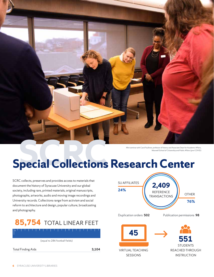

Mini seminar with Carol Faulkner, professor of history and Associate Dean for Academic Affairs, Maxwell School of Citizenship and Public Affairs (pre-COVID)

### **Special Collections Research Center**

SCRC collects, preserves and provides access to materials that document the history of Syracuse University and our global society, including rare, printed materials, original manuscripts, photographs, artworks, audio and moving image recordings and University records. Collections range from activism and social reform to architecture and design, popular culture, broadcasting and photography.

### **85,754** TOTAL LINEAR FEET

(equal to 286 football fields)

Total Finding Aids **3,104**

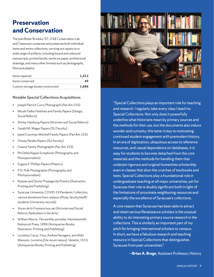### **Preservation and Conservation**

The Joan Breier Brodsky '67, G'68 Conservation Lab and Classroom conserves and preserves both individual items and entire collections, carrying out repairs on a wide range of artifacts, including bound and unbound manuscripts, printed books, works on paper, architectural drawings, and many other formats such as photographs, films and plastics.

| Items repaired                   | 1.312 |
|----------------------------------|-------|
| Items conserved                  | 49    |
| Custom storage boxes constructed | 1.686 |

### **Notable Special Collections Acquisitions**

- Joseph Patrick Curry Photograph (Pan Am 103)
- Micah Fialka-Feldman and Family Papers (Design, Social Reform)
- Shirley Hamburg Papers (Activism and Social Reform)
- Gerald M. Mager Papers (SU Faculty)
- Jewel Courtney Mitchell Family Papers (Pan Am 103)
- Otway Pardee Papers (SU Faculty)
- Owens Family Photographs (Pan Am 103)
- Phi Delta Kappa Scrapbook (Photography and Photojournalism)
- Eugene F. Phillips Papers (Plastics)
- P. H. Polk Photographs (Photography and Photojournalism)
- Russian and Soviet Propaganda Posters (Illustration, Printing and Publishing)
- Syracuse University COVID-19 Pandemic Collection, various donations from campus offices, faculty/staff/ students (University records)
- *Voces de la Frontera* box set (Activism and Social Reform, Radicalism in the Arts)
- William Morris. *The earthly paradise.* Hammersmith: Kelmscott Press, 1896 (Antiquarian Books; Illustration, Printing and Publishing)
- Lucretius Carus, Titus, Andrea Navagero, and Aldo Manuzio. *Lvcretivs* [De rerum natura]. Venetiis, 1515. (Antiquarian Books; Printing and Publishing)



"Special Collections plays an important role for teaching and research. I regularly take every class I teach to Special Collections. Not only does it powerfully underline what historians mean by primary sources and the methods for their use, but the documents also induce wonder and curiosity; this latter is key to motivating continued student engagement with premodern history. In an era of digitization, ubiquitous access to reference resources, and casual dependence on databases, it is easy for students to become detached from the core materials and the methods for handling them that underpin rigorous and original humanities scholarship even in classes that shun the crutches of textbooks and tests. Special Collections play a foundational role in undergraduate teaching at all major universities, yet for Syracuse their role is doubly significant both in light of the limitations of proximate neighboring resources and especially the excellence of Syracuse's collections.

A core reason that Syracuse has been able to attract and retain serious Renaissance scholars is the unusual ability to do interesting primary source research in the collections. This is similarly an important part of my pitch for bringing international scholars to campus. In short, we have a fabulous research and teaching resource in Special Collections that distinguishes Syracuse from peer universities."

—**Brian A. Brege**, Assistant Professor, History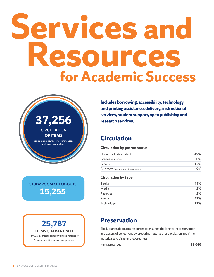## **Services and Resources for Academic Success**



**STUDY ROOM CHECK-OUTS 15,255**

### **25,787 ITEMS QUARANTINED**

for COVID precaution following The Institute of Museum and Library Services guidance

**Includes borrowing, accessibility, technology and printing assistance, delivery, instructional services, student support, open publishing and research services.** 

### **Circulation**

### **Circulation by patron status**

| Undergraduate student                        | 49% |
|----------------------------------------------|-----|
| Graduate student                             | 30% |
| Faculty                                      | 12% |
| All others (guests, interlibrary loan, etc.) | 9%  |

### **Circulation by type**

| <b>Books</b> | 44% |
|--------------|-----|
| Media        | 2%  |
| Reserves     | 2%  |
| Rooms        | 41% |
| Technology   | 11% |

### **Preservation**

The Libraries dedicates resources to ensuring the long-term preservation and access of collections by preparing materials for circulation, repairing materials and disaster preparedness.

Items preserved **11,040**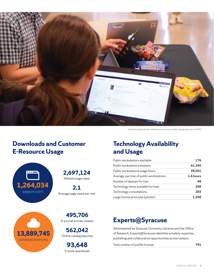

Student browsing Libraries' collections in Summon at a usability testing session (pre-COVID)

### **Downloads and Customer E-Resource Usage**

![](_page_10_Picture_3.jpeg)

**13,889,745**  DATABASE SEARCHES

**2,697,124** Website page views

**2.1**  Average page views per visit

**495,706** E-journal articles viewed

**562,042** Online catalog searches

**93,648** E-book downloads

### **Technology Availability and Usage**

| Public workstations available           | 176       |
|-----------------------------------------|-----------|
| Public workstations sessions            | 61,345    |
| Public workstations usage hours         | 98,561    |
| Average use time of public workstations | 1.6 hours |
| Number of laptops for loan              | 48        |
| Technology items available for loan     | 208       |
| Technology consultations                | 283       |
| Large format print jobs (plotter)       | 1.358     |

### **Experts@Syracuse**

Administered by Syracuse University Libraries and the Office of Research, Experts@Syracuse identifies scholarly expertise, publishing and collaborative opportunities across campus.

Total number of profile licenses **791**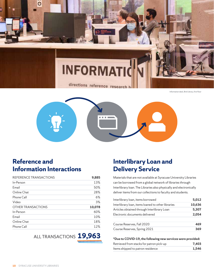![](_page_11_Picture_0.jpeg)

directions reference research

Information desk, Bird Library, first floor

![](_page_11_Picture_3.jpeg)

### **Reference and Information Interactions**

| REFERENCE TRANSACTIONS    | 9,885  |
|---------------------------|--------|
| In-Person                 | 13%    |
| Email                     | 50%    |
| Online Chat               | 28%    |
| Phone Call                | 6%     |
| Video                     | 3%     |
| <b>OTHER TRANSACTIONS</b> | 10,078 |
| In-Person                 | 60%    |
| <b>Email</b>              | 10%    |
| Online Chat               | 18%    |
| Phone Call                | 12%    |

ALL TRANSACTIONS **19,963** 

### **Interlibrary Loan and Delivery Service**

Materials that are not available at Syracuse University Libraries can be borrowed from a global network of libraries through Interlibrary loan. The Libraries also physically and electronically deliver items from our collections to faculty and students.

| Interlibrary loan, items borrowed                  | 5,012  |
|----------------------------------------------------|--------|
| Interlibrary loan, items loaned to other libraries | 10,636 |
| Articles obtained through Interlibrary Loan        | 5,307  |
| Electronic documents delivered                     | 2,054  |
| Course Reserves, Fall 2020                         | 469    |
| Course Reserves, Spring 2021                       | 369    |
|                                                    |        |

**\*Due to COVID-19, the following new services were provided:**

| Retrieved from stacks for patron pick-up | 7.403 |
|------------------------------------------|-------|
| Items shipped to patron residence        | 1.546 |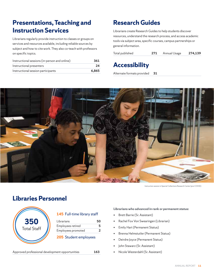### **Presentations, Teaching and Instruction Services**

Librarians regularly provide instruction to classes or groups on services and resources available, including reliable sources by subject and how to cite work. They also co-teach with professors on specific topics.

| Instructional sessions (in-person and online) | 361   |
|-----------------------------------------------|-------|
| Instructional presenters                      | 24    |
| Instructional session participants            | 6.865 |

### **Research Guides**

Librarians create Research Guides to help students discover resources, understand the research process, and access academic tools via subject area, specific courses, campus partnerships or general information.

Total published **271** Annual Usage **274,139**

### **Accessibility**

Alternate formats provided **31**

![](_page_12_Picture_8.jpeg)

Instruction session in Special Collections Research Center (pre-COVID)

### **Libraries Personnel**

| 350                |  |
|--------------------|--|
| <b>Total Staff</b> |  |
|                    |  |

| 145 Full-time library staff |
|-----------------------------|
|-----------------------------|

| 5 |
|---|
|   |
|   |

### **205** Student employees

Approved professional development opportunities **163** • Nicole Westerdahl (Sr. Assistant)

#### **Librarians who advanced in rank or permanent status:**

- Brett Barrie (Sr. Assistant)
- Rachel Fox Von Swearingen (Librarian)
- Emily Hart (Permanent Status)
- Brenna Helmstutler (Permanent Status)
- Deirdre Joyce (Permanent Status)
- John Stawarz (Sr. Assistant)
-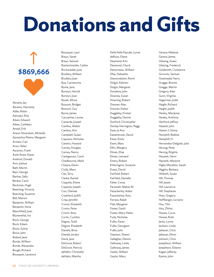## **Donations and Gifts**

# **\$869,666**

Abrams, Jay Abrams, Henriette Adler, Robin Adrosko, Rita Aiken, Edward Aiken, Cathleen Amsel, Erik Anson-Silverstein, Michelle Apostolos-Peters, Margaret Armani, Carl Aron, Helen Ascenzo, Frank Astle Strait, Diane Axelrod, Donald Aviv, Joshua Bahl, Martin Bain, George Barlow, Sally Becker, Carol Beckman, Hugh Beeching, Victoria Beeching, Suzanne Bell, Marion Benjamin, William Benjamin, Anna Blanchfield, Joan Blumenthal, Iris Bock, George Bock, Edwin Boice, Sylvia Boice, John Boland, Jane Bonds, William Bonds, Alexandra Bough, Richard Bousquet, Laurence

Bousquet, Lauri Braun, Sarah Braun, Samuel Brettschneider, Cathie Brickwedde, June Brodsky, William Brodsky, Joan Bua, Carmencita Burke, Jane Burstyn, Harold Burstyn, Joan Buzak, Mona Buzzoni, Bridget Buzzoni, Guy Byrne, James Caccamise, Louise Camarda, Joseph Cambra, Walter Cambra, Ann Campbell, Susan Capuano, Nicholas Caretto, Howard Carney, Douglas Carney, Nancy Castagnozzi, Carol Chadbourne, Mark Chopra, Karen Ciulla, Mary Clar, Terry Clarke, Rachel Coppola, Elaine Coppola, Joseph Cox, Olamae Crawford, Judith Crisp, Jennifer Cronin, Elizabeth Cronin, Peter Cronin, Amy Curtin, Cynthia Dagres, Todd Dagres, Elizabeth Daniels, Brice Daniels, Jordyn Davis, Jane DeGroot, Robert DeGroot, Patricia deHahn, Christofer deHahn, Martha

Della Pelle Pascale, Lynne deRoos, Diane Desmond, Kim Desmond, Chuck Desormeau, William Dhar, Debashis Diamondstein, Ronni Dolgin, Kalmon Dolgin, Margaret Donahoe, John Downey, Susan Downing, Robert Drezner, Alan Drezner, Esther Duggleby, Kristen Duggleby, Dennis Dunford, Christopher Dunlap Harrington, Peggi Dyer, Jo Ann Easterbrook, David Eisen, Emily Eisen, Marc Elfin, Margery Elman, Elise Elman, Leonard Emery, Robert Etherington, Suzanne Evans, David Fairfield, Robert Fairfield, Danielle Falter, Corey Farzaneh, Mateo M. Fazackerley, Adam Fazackerley, Amy Ferrara, Ralph Flah, Margaret Foster, Garth Foster, Mary-Helen Fuda, Nicholas Fuller, Karen Fuller, Georgann Fuller, John Gaetano, Shawn Gallagher, Dennis Galloway, Linda Galloway, James Gaske, William Gaylor, Mary

Gerace, Melanie Gerace, James Gliesing, Susan Gliesing, Frederick Goldsmith, Constance Gorovitz, Samuel Greenwald, Harry Gregge, Bonnie Gregge, Martin Gregory, Alan Gunn, Virginia Hagerman, Jodie Haight, Richard Haight, Judith Hanley, Marianne Hanley, Anthony Hartford, Jeffrey Hassett, John Hatem, Cristina Hemphill, Bobbie Hemphill, H. Hernandez-Delgado, Julio Herzog, Peter Herzog, Brigitte Heystek, Henri Heystek, Marjorie Higby Morabito, Sarah Higgins, Barbara Hildreth, Susan Hill, Thomas Hill, Jessie Hill, Lawrence Hill, Stephanie Hoer, Gregory Hoffberger, Lorraine Hou, Yilin Hou, Zhihui Howes, Cyrus Howes, Ruth Jacks, Lynne Jackson, Linda Jaikaran, Chris Jaikaran, Elinor Johnson, Chris Josephson, William Josephson, Eleanor Kagan, Jefferey Kantor, John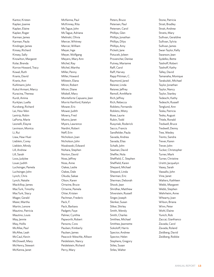Kantor, Kristen Kaplan, Joanne Kaplan, Elaine Kaplan, Roger Karman, James Karman, Paula Kindinger, James Kinsey, Richard Kinsey, Sally Knowlton, Margaret Kolar, Brenda Korros-Howard, Tracy Kowal, Ruth Kranis, David Kranis, Ann Kuhlmann, John Kukul Armani, Marcy Kuracina, Theresa Kurdi, Amina Kurkjian, Luella Kurzberg, Richard Lai, Hsiu-Wen Lantrip, Robin LaPorta, Marie Leonelli, Elayne Levinson, Monica Li, Rui Liaw, Haw-Huei Lieblein, Corey Lieblein, Mindy Lill, Andrew Lill, Sarah Loos, Judylee Louer, Judith Luchsinger, Pamela Luchsinger, John Lynch, Chris Lynch, Natalie Mackillop, James MacTurk, Timothy MacTurk, Stacy Mager, Gerald Maier, Martha Martin, Lenore Mautino, Patricia Mautino, Louis May, Jennie May, Hollis McAfee, Paul McAfee, Leah McCaul, Kevin McDowell, Mary McHenry, Stewart McKenna, Janet

McKenna, Paul McKinney, Rita McTague, John McTague, Adriana Melinski, Olivia Mercer, Whitney Mercer, William Meyer, Inge Meyer, Wolfgang Meyers, Mary Ann Michel, Ray Michel, Martha Miller, Penny Miller, Howard Milstein, Elana Miron, Robert Miron, Diane Miskell, Mary Monteforte Capuano, Jean Morris Hartford, Katelyn Mower, Eric Mower, Judith Mowry, Fred Munro, Janet Myers, Lawrence Nardini, Robert Neff, Erin Nicholson, Joan Nicholson, John Nizalowski, Edward Nohara, Stephen Norton, David Noss, Jeffrey Noss, Anne Oakes, Leslie Oakes, Dale Okuda, Sakae Olson, Karen Ortwine, Bruce Ortwine, Pamela Otter, Kristen Pachman, Frederic Pack, F. Pack, Barbara Padgett, Faye Palmer, Cynthia Papworth, Robert Parsons, Cora Paulsen, Kimberly Paulsen, James Peacock-Weschle, Allison Peidelstein, Nancy Peidelstein, Richard Perry, Mary

Peters, Bruce Petersen, Paul Petersen, Carol Phillips, Glen Phillips, Jonathan Phillips, Dilys Phillips, Amy Pickett, Jane Potucek, Joleen Provencher, Denise Putney, Marianne Raff, Carol Raff, Harvey Rapp Pittman, C. Raymond, Jared Reisner, Linda Reisner, Jeffrey Remoll, AnnMarie Rich, Jeffrey Rich, Rebecca Robleto, Fernando Robleto, Misty Rose, Laurie Rubin, Todd Rusyniak, Roderick Sacco, Francis Sandfelder, Paula Savada, Andrea Savada, Elias Schalk, John Seaman, David Sheffer, Nola Sheffield, C. Stephen Sheffield, Karen Shepard, Michael Shepard, Linda Sherman, Eric Sherman, Deborah Shook, Jean Shridhar, Matthew Silverstein, Russell Singer, Joseph Slenker, Susan Sliker, Shirley Smith, Wendy Smith, Charles Smithee, Michael Smithee, Jeannette Sokoloff, Harris Spector, Andrew Spector, Helen Stephens, Gregory Stiles, Susan Stiles, Walter

Stone, Patricia Strait, Bradley Strait, Andrew Stratis, Mary Sullivan, Geraldine Sullivan, Sylvia Sullivan, James Swan Taylor, Kelly Swanson, lean Sydelko, Bette Taishoff, Robert Taishoff, Kathy Talley, David Tamanaha, Monique Tarabulski, Michael Taylor, Jonathan Taylor, Nancy Taylor, Stanley Tedeschi, Kathy Tedeschi, Russell Tenglund, Ann Teska, Patricia Teska, August Thiele, Ronald Tredwell, Bruce Tredwell, Denny Tree, Wesley Trento, Sandra Trever, Karen Trever, John Tucker, Christopher Turner, Mark Turner, Christine Ursitti, Jacquelyn Vasey, Sarah Vassallo, John Vine, Janet Walters, Kathleen Webb, Margaret Webb, Stephen Wehrheim, Anne Whearty, Joan Wilson, Briana Winn, Peter Wohl, Elaine Yunich, Rob Zaccai, Gianfranco Zavada, Carol Zavada, Roland Zeidberg, David Zeidberg, Robbie